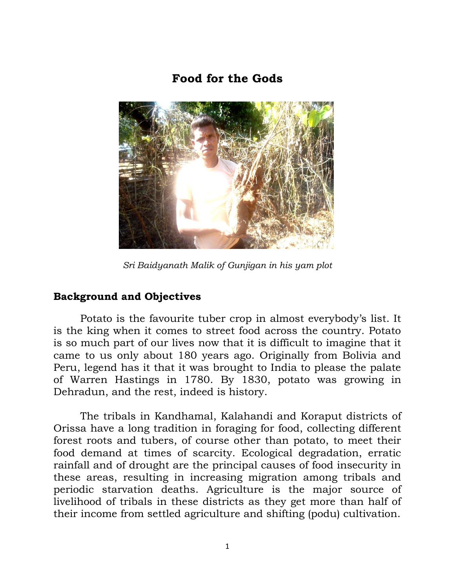## **Food for the Gods**



*Sri Baidyanath Malik of Gunjigan in his yam plot*

## **Background and Objectives**

Potato is the favourite tuber crop in almost everybody's list. It is the king when it comes to street food across the country. Potato is so much part of our lives now that it is difficult to imagine that it came to us only about 180 years ago. Originally from Bolivia and Peru, legend has it that it was brought to India to please the palate of Warren Hastings in 1780. By 1830, potato was growing in Dehradun, and the rest, indeed is history.

The tribals in Kandhamal, Kalahandi and Koraput districts of Orissa have a long tradition in foraging for food, collecting different forest roots and tubers, of course other than potato, to meet their food demand at times of scarcity. Ecological degradation, erratic rainfall and of drought are the principal causes of food insecurity in these areas, resulting in increasing migration among tribals and periodic starvation deaths. Agriculture is the major source of livelihood of tribals in these districts as they get more than half of their income from settled agriculture and shifting (podu) cultivation.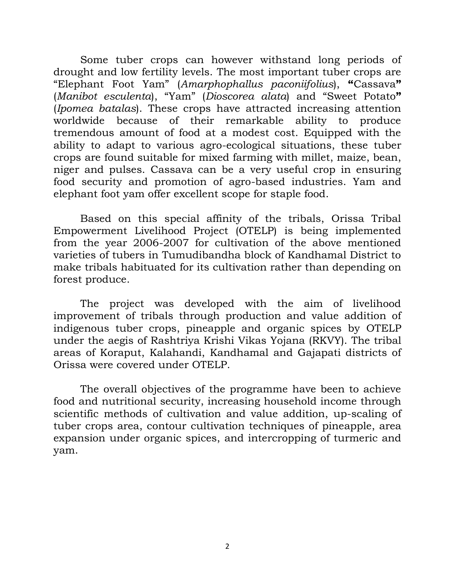Some tuber crops can however withstand long periods of drought and low fertility levels. The most important tuber crops are "Elephant Foot Yam" (*Amarphophallus paconiifolius*), **"**Cassava**"** (*Manibot esculenta*), "Yam" (*Dioscorea alata*) and "Sweet Potato**"** (*Ipomea batalas*). These crops have attracted increasing attention worldwide because of their remarkable ability to produce tremendous amount of food at a modest cost. Equipped with the ability to adapt to various agro-ecological situations, these tuber crops are found suitable for mixed farming with millet, maize, bean, niger and pulses. Cassava can be a very useful crop in ensuring food security and promotion of agro-based industries. Yam and elephant foot yam offer excellent scope for staple food.

Based on this special affinity of the tribals, Orissa Tribal Empowerment Livelihood Project (OTELP) is being implemented from the year 2006-2007 for cultivation of the above mentioned varieties of tubers in Tumudibandha block of Kandhamal District to make tribals habituated for its cultivation rather than depending on forest produce.

The project was developed with the aim of livelihood improvement of tribals through production and value addition of indigenous tuber crops, pineapple and organic spices by OTELP under the aegis of Rashtriya Krishi Vikas Yojana (RKVY). The tribal areas of Koraput, Kalahandi, Kandhamal and Gajapati districts of Orissa were covered under OTELP.

The overall objectives of the programme have been to achieve food and nutritional security, increasing household income through scientific methods of cultivation and value addition, up-scaling of tuber crops area, contour cultivation techniques of pineapple, area expansion under organic spices, and intercropping of turmeric and yam.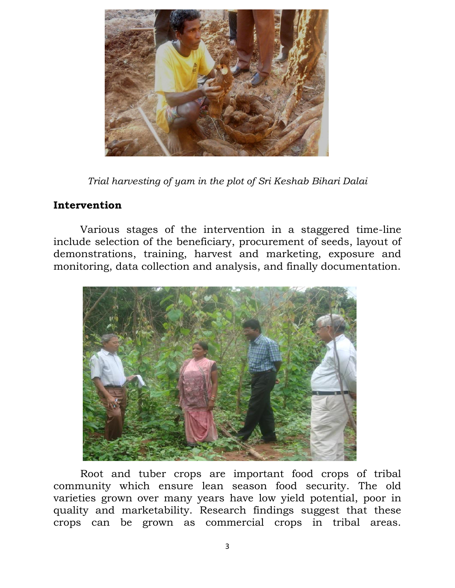

*Trial harvesting of yam in the plot of Sri Keshab Bihari Dalai*

## **Intervention**

Various stages of the intervention in a staggered time-line include selection of the beneficiary, procurement of seeds, layout of demonstrations, training, harvest and marketing, exposure and monitoring, data collection and analysis, and finally documentation.



Root and tuber crops are important food crops of tribal community which ensure lean season food security. The old varieties grown over many years have low yield potential, poor in quality and marketability. Research findings suggest that these crops can be grown as commercial crops in tribal areas.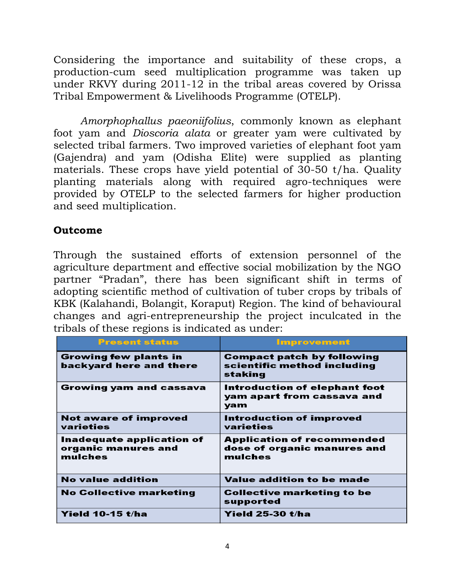Considering the importance and suitability of these crops, a production-cum seed multiplication programme was taken up under RKVY during 2011-12 in the tribal areas covered by Orissa Tribal Empowerment & Livelihoods Programme (OTELP).

*Amorphophallus paeoniifolius*, commonly known as elephant foot yam and *Dioscoria alata* or greater yam were cultivated by selected tribal farmers. Two improved varieties of elephant foot yam (Gajendra) and yam (Odisha Elite) were supplied as planting materials. These crops have yield potential of 30-50 t/ha. Quality planting materials along with required agro-techniques were provided by OTELP to the selected farmers for higher production and seed multiplication.

## **Outcome**

Through the sustained efforts of extension personnel of the agriculture department and effective social mobilization by the NGO partner "Pradan", there has been significant shift in terms of adopting scientific method of cultivation of tuber crops by tribals of KBK (Kalahandi, Bolangit, Koraput) Region. The kind of behavioural changes and agri-entrepreneurship the project inculcated in the tribals of these regions is indicated as under:

| <b>Present status</b>                                       | Improvement                                                                 |
|-------------------------------------------------------------|-----------------------------------------------------------------------------|
| <b>Growing few plants in</b><br>backyard here and there     | <b>Compact patch by following</b><br>scientific method including<br>staking |
| <b>Growing yam and cassava</b>                              | Introduction of elephant foot<br>yam apart from cassava and<br>yam          |
| <b>Not aware of improved</b><br>varieties                   | Introduction of improved<br>varieties                                       |
| Inadequate application of<br>organic manures and<br>mulches | <b>Application of recommended</b><br>dose of organic manures and<br>mulches |
| No value addition                                           | Value addition to be made                                                   |
| No Collective marketing                                     | Collective marketing to be<br>supported                                     |
| <b>Yield 10-15 t/ha</b>                                     | Yield 25-30 t/ha                                                            |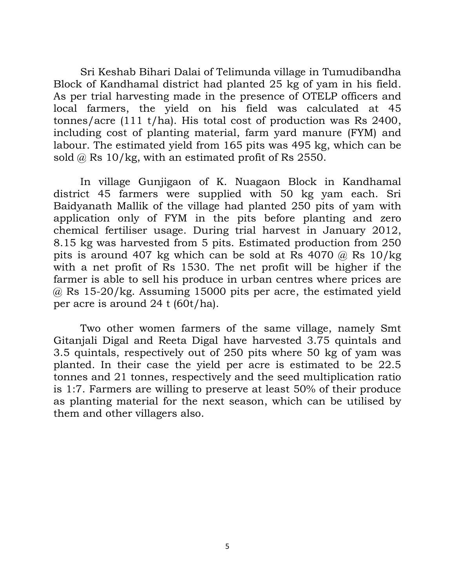Sri Keshab Bihari Dalai of Telimunda village in Tumudibandha Block of Kandhamal district had planted 25 kg of yam in his field. As per trial harvesting made in the presence of OTELP officers and local farmers, the yield on his field was calculated at 45 tonnes/acre (111 t/ha). His total cost of production was Rs 2400, including cost of planting material, farm yard manure (FYM) and labour. The estimated yield from 165 pits was 495 kg, which can be sold @ Rs 10/kg, with an estimated profit of Rs 2550.

In village Gunjigaon of K. Nuagaon Block in Kandhamal district 45 farmers were supplied with 50 kg yam each. Sri Baidyanath Mallik of the village had planted 250 pits of yam with application only of FYM in the pits before planting and zero chemical fertiliser usage. During trial harvest in January 2012, 8.15 kg was harvested from 5 pits. Estimated production from 250 pits is around 407 kg which can be sold at Rs 4070  $\omega$  Rs 10/kg with a net profit of Rs 1530. The net profit will be higher if the farmer is able to sell his produce in urban centres where prices are @ Rs 15-20/kg. Assuming 15000 pits per acre, the estimated yield per acre is around 24 t (60t/ha).

Two other women farmers of the same village, namely Smt Gitanjali Digal and Reeta Digal have harvested 3.75 quintals and 3.5 quintals, respectively out of 250 pits where 50 kg of yam was planted. In their case the yield per acre is estimated to be 22.5 tonnes and 21 tonnes, respectively and the seed multiplication ratio is 1:7. Farmers are willing to preserve at least 50% of their produce as planting material for the next season, which can be utilised by them and other villagers also.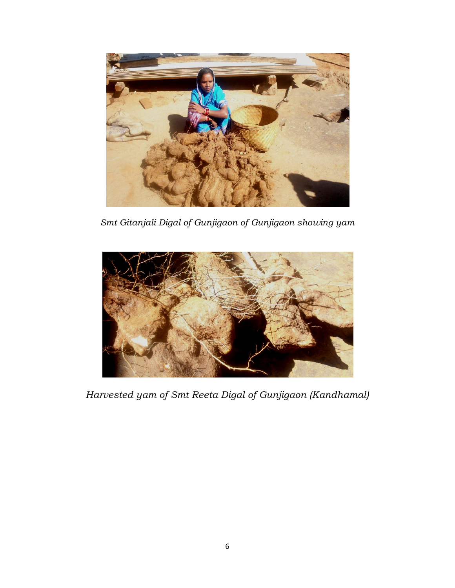

*Smt Gitanjali Digal of Gunjigaon of Gunjigaon showing yam*



*Harvested yam of Smt Reeta Digal of Gunjigaon (Kandhamal)*